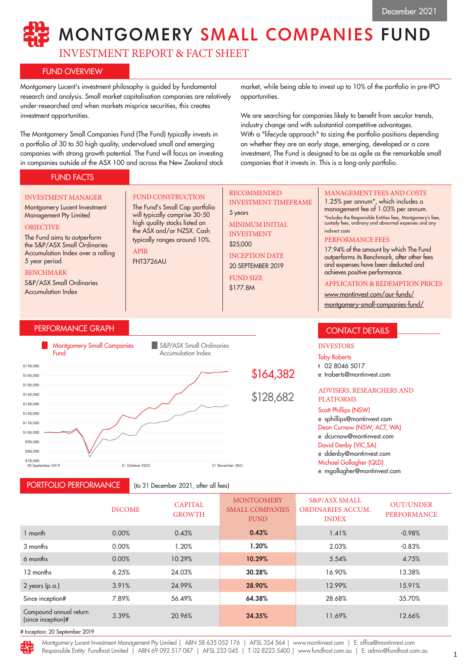# INVESTMENT REPORT & FACT SHEET MONTGOMERY SMALL COMPANIES FUND

## FUND OVERVIEW

Montgomery Lucent's investment philosophy is guided by fundamental research and analysis. Small market capitalisation companies are relatively under-researched and when markets misprice securities, this creates investment opportunities.

The Montgomery Small Companies Fund (The Fund) typically invests in a portfolio of 30 to 50 high quality, undervalued small and emerging companies with strong growth potential. The Fund will focus on investing in companies outside of the ASX 100 and across the New Zealand stock

> FUND CONSTRUCTION The Fund's Small Cap portfolio will typically comprise 30-50 high quality stocks listed on the ASX and/or NZSX. Cash typically ranges around 10%.

market, while being able to invest up to 10% of the portfolio in pre-IPO opportunities.

We are searching for companies likely to benefit from secular trends, industry change and with substantial competitive advantages. With a "lifecycle approach" to sizing the portfolio positions depending on whether they are an early stage, emerging, developed or a core investment, The Fund is designed to be as agile as the remarkable small companies that it invests in. This is a long-only portfolio.

## FUND FACTS

## INVESTMENT MANAGER

Montgomery Lucent Investment Management Pty Limited **OBJECTIVE** 

#### The Fund aims to outperform the S&P/ASX Small Ordinaries Accumulation Index over a rolling 5 year period.

#### BENCHMARK

S&P/ASX Small Ordinaries Accumulation Index

## PERFORMANCE GRAPH



APIR FHT3726AU

PORTFOLIO PERFORMANCE

(to 31 December 2021, after all fees)

## RECOMMENDED INVESTMENT TIMEFRAME

5 years MINIMUM INITIAL INVESTMENT \$25,000

INCEPTION DATE 20 SEPTEMBER 2019

FUND SIZE

\$177.8M

## MANAGEMENT FEES AND COSTS

1.25% per annum\*, which includes a management fee of 1.03% per annum. \*Includes the Responsible Entities fees, Montgomery's fees, custody fees, ordinary and abnormal expenses and any indirect costs

#### PERFORMANCE FEES

17.94% of the amount by which The Fund outperforms its Benchmark, after other fees and expenses have been deducted and achieves positive performance.

#### APPLICATION & REDEMPTION PRICES

www.montinvest.com/our-funds/

montgomery-small-companies-fund/

## CONTACT DETAILS

#### INVESTORS

Toby Roberts

t 02 8046 5017

e troberts@montinvest.com

#### ADVISERS, RESEARCHERS AND PLATFORMS

#### Scott Phillips (NSW)

e sphillips@montinvest.com Dean Curnow (NSW, ACT, WA) e dcurnow@montinvest.com David Denby (VIC,SA) e ddenby@montinvest.com Michael Gollagher (QLD) e mgollagher@montinvest.com

INCOME CAPITAL GROWTH **MONTGOMERY** SMALL COMPANIES **FUND** S&P/ASX SMALL ORDINARIES ACCUM. INDEX OUT/UNDER PERFORMANCE 1 month 0.00% 0.43% **0.43%** 1.41% -0.98% 3 months 0.00% 1.20% 1.20% 2.03% -0.83% 6 months 0.00% 10.29% 1**0.29%** 5.54% 4.75% 12 months 6.25% 24.03% 30.28% 16.90% 13.38% 2 years (p.a.) 3.91% 24.99% **28.90%** 12.99% 15.91% Since inception# 7.89% 56.49% 64.38% 28.68% 35.70% Compound annual return  $\frac{1}{12.66\%}$  3.39% 20.96% 20.96% 24.35% 11.69% 12.66%

# Inception: 20 September 2019

Montgomery Lucent Investment Management Pty Limited | ABN 58 635 052 176 | AFSL 354 564 | www.montinvest.com | E: office@montinvest.com Responsible Entity Fundhost Limited | ABN 69 092 517 087 | AFSL 233 045 | T: 02 8223 5400 | www.fundhost.com.au | E: admin@fundhost.com.au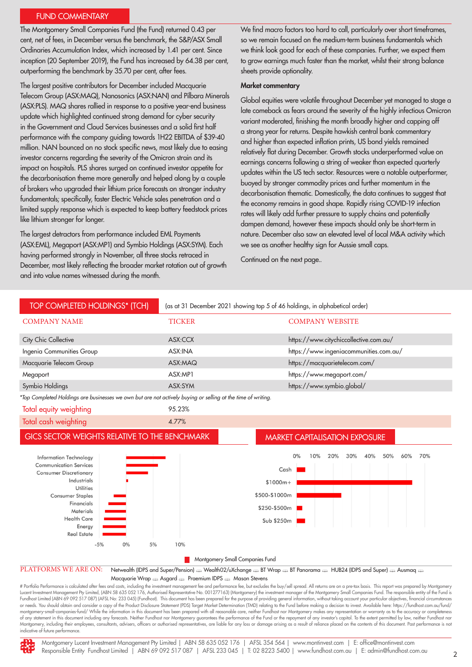## FUND COMMENTARY

The Montgomery Small Companies Fund (the Fund) returned 0.43 per cent, net of fees, in December versus the benchmark, the S&P/ASX Small Ordinaries Accumulation Index, which increased by 1.41 per cent. Since inception (20 September 2019), the Fund has increased by 64.38 per cent, outperforming the benchmark by 35.70 per cent, after fees.

The largest positive contributors for December included Macquarie Telecom Group (ASX:MAQ), Nanosonics (ASX:NAN) and Pilbara Minerals (ASX:PLS). MAQ shares rallied in response to a positive year-end business update which highlighted continued strong demand for cyber security in the Government and Cloud Services businesses and a solid first half performance with the company guiding towards 1H22 EBITDA of \$39-40 million. NAN bounced on no stock specific news, most likely due to easing investor concerns regarding the severity of the Omicron strain and its impact on hospitals. PLS shares surged on continued investor appetite for the decarbonisation theme more generally and helped along by a couple of brokers who upgraded their lithium price forecasts on stronger industry fundamentals; specifically, faster Electric Vehicle sales penetration and a limited supply response which is expected to keep battery feedstock prices like lithium stronger for longer.

The largest detractors from performance included EML Payments (ASX:EML), Megaport (ASX:MP1) and Symbio Holdings (ASX:SYM). Each having performed strongly in November, all three stocks retraced in December, most likely reflecting the broader market rotation out of growth and into value names witnessed during the month.

We find macro factors too hard to call, particularly over short timeframes, so we remain focused on the medium-term business fundamentals which we think look good for each of these companies. Further, we expect them to grow earnings much faster than the market, whilst their strong balance sheets provide optionality.

#### Market commentary

Global equities were volatile throughout December yet managed to stage a late comeback as fears around the severity of the highly infectious Omicron variant moderated, finishing the month broadly higher and capping off a strong year for returns. Despite hawkish central bank commentary and higher than expected inflation prints, US bond yields remained relatively flat during December. Growth stocks underperformed value on earnings concerns following a string of weaker than expected quarterly updates within the US tech sector. Resources were a notable outperformer, buoyed by stronger commodity prices and further momentum in the decarbonisation thematic. Domestically, the data continues to suggest that the economy remains in good shape. Rapidly rising COVID-19 infection rates will likely add further pressure to supply chains and potentially dampen demand, however these impacts should only be short-term in nature. December also saw an elevated level of local M&A activity which we see as another healthy sign for Aussie small caps.

Continued on the next page..



Macquarie Wrap  $\textcircled{a}$  Asgard  $\textcircled{a}$  Praemium IDPS  $\textcircled{a}$  Mason Stevens

# Portfolio Performance is calculated after fees and costs, including the investment management fee and performance fee, but excludes the buy/sell spread. All returns are on a pre-tax basis. This report was prepared by Mon Lucent Investment Management Pty Limited, (ABN 58 635 052 176, Authorised Representative No. 001277163) (Montgomery) the investment manager of the Montgomery Small Companies Fund. The responsible entity of the Fund is Fundhost Limited (ABN 69 092 517 087) (AFSL No: 233 045) (Fundhost). This document has been prepared for the purpose of providing general information, without taking account your particular objectives, financial circumstan or needs. You should obtain and consider a copy of the Product Disclosure Statement (PDS) Target Market Determination (TMD) relating to the Fund before making a decision to invest. Available here: https://fundhost.com.au/f montgomery-small-companies-fund/ While the information in this document has been prepared with all reasonable care, neither Fundhost nor Montgomery makes any representation or warranty as to the accuracy or completeness of any statement in this document including any forecasts. Neither Fundhost nor Montgomery guarantees the performance of the Fund or the repayment of any investor's capital. To the extent permitted by law, neither Fundhost Montgomery, including their employees, consultants, advisers, officers or authorised representatives, are liable for any loss or damage arising as a result of reliance placed on the contents of this document. Past performa indicative of future performance.